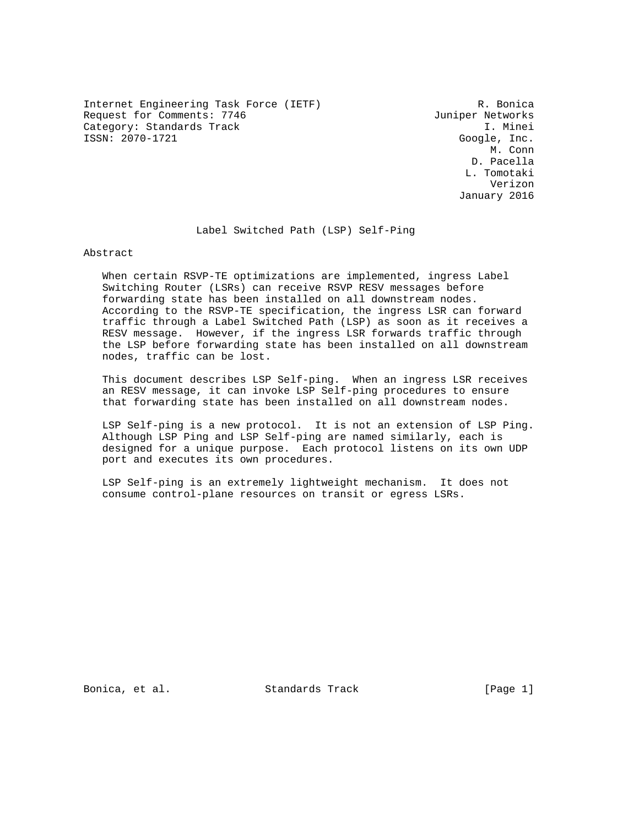Internet Engineering Task Force (IETF) R. Bonica Request for Comments: 7746 Juniper Networks Category: Standards Track I. Minei ISSN: 2070-1721 Google, Inc.

 M. Conn D. Pacella L. Tomotaki Verizon January 2016

Label Switched Path (LSP) Self-Ping

Abstract

 When certain RSVP-TE optimizations are implemented, ingress Label Switching Router (LSRs) can receive RSVP RESV messages before forwarding state has been installed on all downstream nodes. According to the RSVP-TE specification, the ingress LSR can forward traffic through a Label Switched Path (LSP) as soon as it receives a RESV message. However, if the ingress LSR forwards traffic through the LSP before forwarding state has been installed on all downstream nodes, traffic can be lost.

 This document describes LSP Self-ping. When an ingress LSR receives an RESV message, it can invoke LSP Self-ping procedures to ensure that forwarding state has been installed on all downstream nodes.

 LSP Self-ping is a new protocol. It is not an extension of LSP Ping. Although LSP Ping and LSP Self-ping are named similarly, each is designed for a unique purpose. Each protocol listens on its own UDP port and executes its own procedures.

 LSP Self-ping is an extremely lightweight mechanism. It does not consume control-plane resources on transit or egress LSRs.

Bonica, et al. Standards Track [Page 1]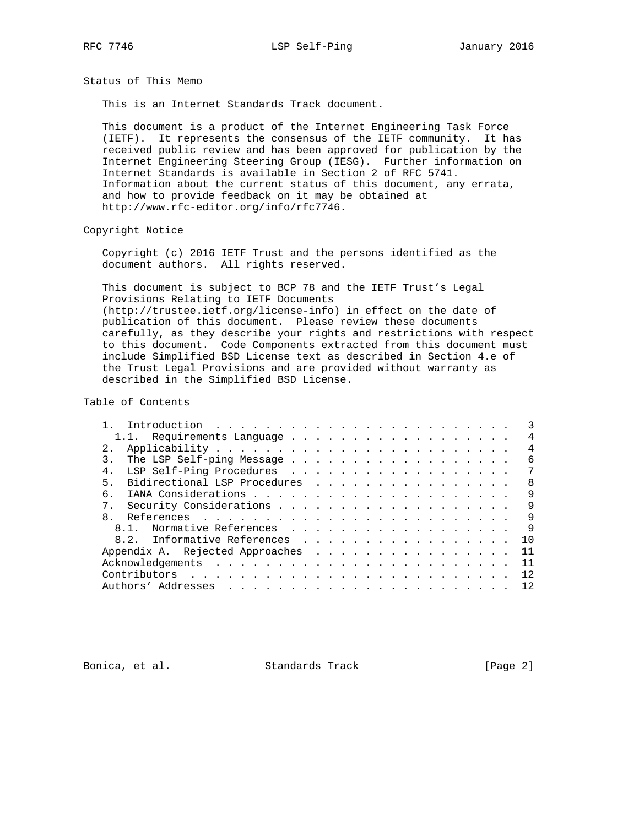RFC 7746 **LSP Self-Ping 1998** January 2016

Status of This Memo

This is an Internet Standards Track document.

 This document is a product of the Internet Engineering Task Force (IETF). It represents the consensus of the IETF community. It has received public review and has been approved for publication by the Internet Engineering Steering Group (IESG). Further information on Internet Standards is available in Section 2 of RFC 5741. Information about the current status of this document, any errata, and how to provide feedback on it may be obtained at http://www.rfc-editor.org/info/rfc7746.

Copyright Notice

 Copyright (c) 2016 IETF Trust and the persons identified as the document authors. All rights reserved.

 This document is subject to BCP 78 and the IETF Trust's Legal Provisions Relating to IETF Documents (http://trustee.ietf.org/license-info) in effect on the date of publication of this document. Please review these documents carefully, as they describe your rights and restrictions with respect to this document. Code Components extracted from this document must include Simplified BSD License text as described in Section 4.e of the Trust Legal Provisions and are provided without warranty as described in the Simplified BSD License.

Table of Contents

|   | 1.1. Requirements Language      | 4              |
|---|---------------------------------|----------------|
|   |                                 | $\overline{4}$ |
|   |                                 | 6              |
|   | LSP Self-Ping Procedures<br>4.  | 7              |
| 5 | Bidirectional LSP Procedures    | -8             |
|   | б.                              | 9              |
|   | $7$ .                           | 9              |
|   | $\mathsf{R}$                    | 9              |
|   | 8.1. Normative References       | 9              |
|   | 8.2. Informative References     | 1 O            |
|   | Appendix A. Rejected Approaches | 11             |
|   |                                 | 11             |
|   |                                 | 12             |
|   |                                 | 12             |

Bonica, et al. Standards Track [Page 2]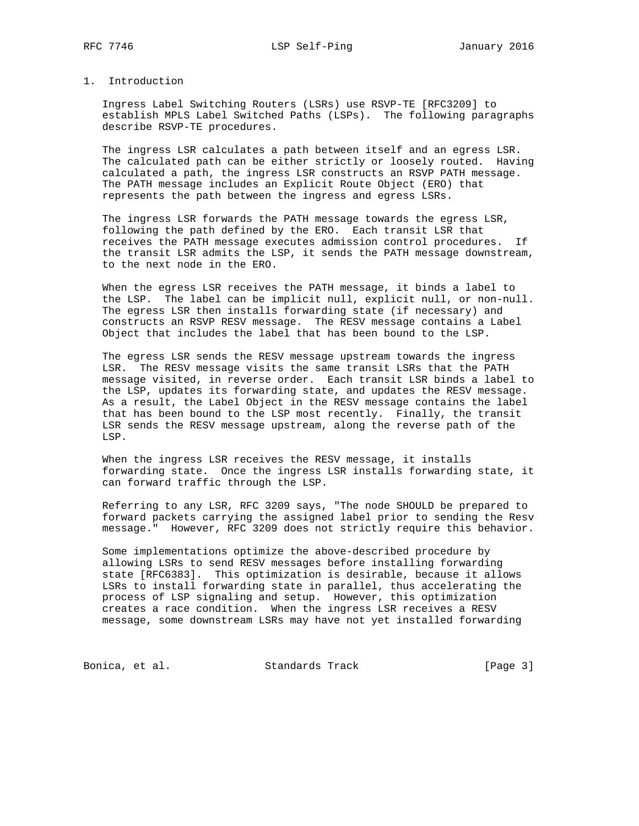## 1. Introduction

 Ingress Label Switching Routers (LSRs) use RSVP-TE [RFC3209] to establish MPLS Label Switched Paths (LSPs). The following paragraphs describe RSVP-TE procedures.

 The ingress LSR calculates a path between itself and an egress LSR. The calculated path can be either strictly or loosely routed. Having calculated a path, the ingress LSR constructs an RSVP PATH message. The PATH message includes an Explicit Route Object (ERO) that represents the path between the ingress and egress LSRs.

 The ingress LSR forwards the PATH message towards the egress LSR, following the path defined by the ERO. Each transit LSR that receives the PATH message executes admission control procedures. If the transit LSR admits the LSP, it sends the PATH message downstream, to the next node in the ERO.

 When the egress LSR receives the PATH message, it binds a label to the LSP. The label can be implicit null, explicit null, or non-null. The egress LSR then installs forwarding state (if necessary) and constructs an RSVP RESV message. The RESV message contains a Label Object that includes the label that has been bound to the LSP.

 The egress LSR sends the RESV message upstream towards the ingress LSR. The RESV message visits the same transit LSRs that the PATH message visited, in reverse order. Each transit LSR binds a label to the LSP, updates its forwarding state, and updates the RESV message. As a result, the Label Object in the RESV message contains the label that has been bound to the LSP most recently. Finally, the transit LSR sends the RESV message upstream, along the reverse path of the LSP.

 When the ingress LSR receives the RESV message, it installs forwarding state. Once the ingress LSR installs forwarding state, it can forward traffic through the LSP.

 Referring to any LSR, RFC 3209 says, "The node SHOULD be prepared to forward packets carrying the assigned label prior to sending the Resv message." However, RFC 3209 does not strictly require this behavior.

 Some implementations optimize the above-described procedure by allowing LSRs to send RESV messages before installing forwarding state [RFC6383]. This optimization is desirable, because it allows LSRs to install forwarding state in parallel, thus accelerating the process of LSP signaling and setup. However, this optimization creates a race condition. When the ingress LSR receives a RESV message, some downstream LSRs may have not yet installed forwarding

Bonica, et al. Standards Track [Page 3]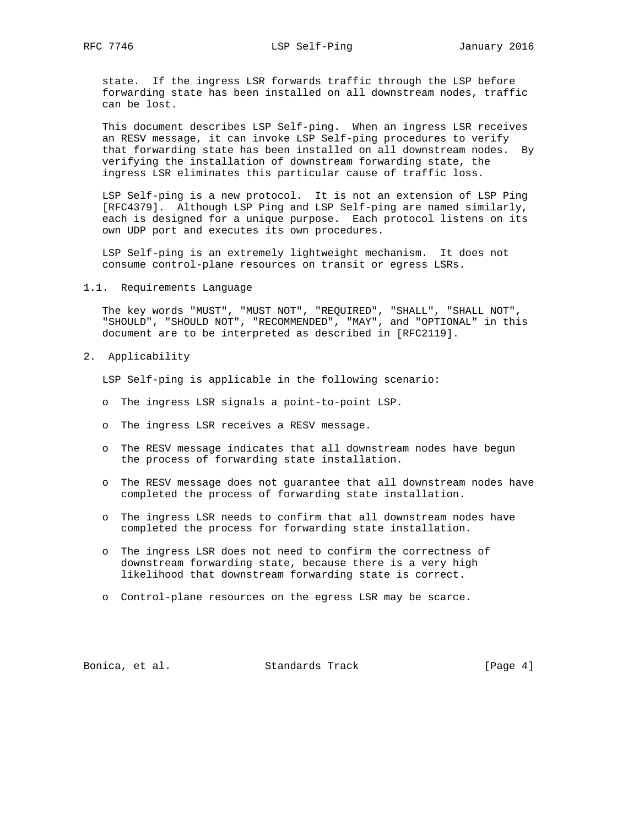state. If the ingress LSR forwards traffic through the LSP before forwarding state has been installed on all downstream nodes, traffic can be lost.

 This document describes LSP Self-ping. When an ingress LSR receives an RESV message, it can invoke LSP Self-ping procedures to verify that forwarding state has been installed on all downstream nodes. By verifying the installation of downstream forwarding state, the ingress LSR eliminates this particular cause of traffic loss.

 LSP Self-ping is a new protocol. It is not an extension of LSP Ping [RFC4379]. Although LSP Ping and LSP Self-ping are named similarly, each is designed for a unique purpose. Each protocol listens on its own UDP port and executes its own procedures.

 LSP Self-ping is an extremely lightweight mechanism. It does not consume control-plane resources on transit or egress LSRs.

1.1. Requirements Language

 The key words "MUST", "MUST NOT", "REQUIRED", "SHALL", "SHALL NOT", "SHOULD", "SHOULD NOT", "RECOMMENDED", "MAY", and "OPTIONAL" in this document are to be interpreted as described in [RFC2119].

2. Applicability

LSP Self-ping is applicable in the following scenario:

- o The ingress LSR signals a point-to-point LSP.
- o The ingress LSR receives a RESV message.
- o The RESV message indicates that all downstream nodes have begun the process of forwarding state installation.
- o The RESV message does not guarantee that all downstream nodes have completed the process of forwarding state installation.
- o The ingress LSR needs to confirm that all downstream nodes have completed the process for forwarding state installation.
- o The ingress LSR does not need to confirm the correctness of downstream forwarding state, because there is a very high likelihood that downstream forwarding state is correct.
- o Control-plane resources on the egress LSR may be scarce.

Bonica, et al. Standards Track [Page 4]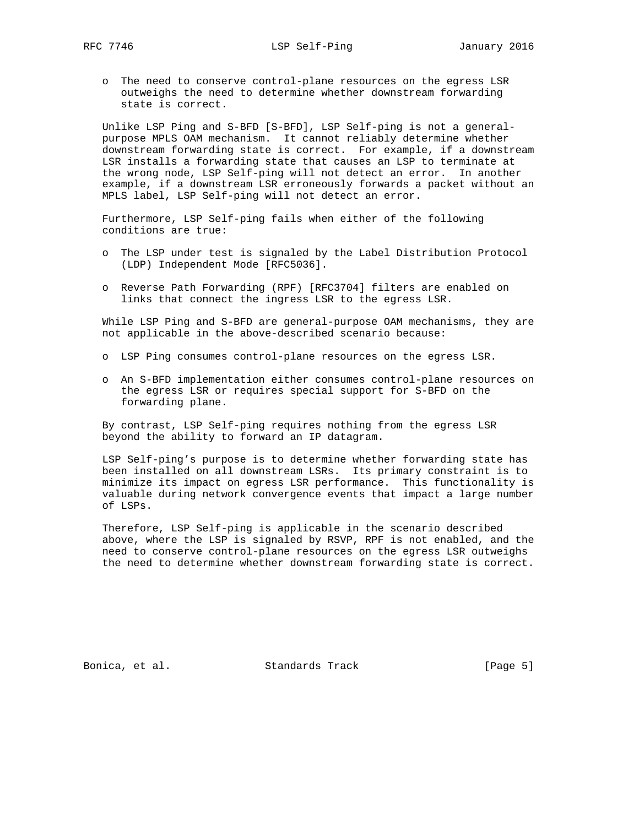o The need to conserve control-plane resources on the egress LSR outweighs the need to determine whether downstream forwarding state is correct.

 Unlike LSP Ping and S-BFD [S-BFD], LSP Self-ping is not a general purpose MPLS OAM mechanism. It cannot reliably determine whether downstream forwarding state is correct. For example, if a downstream LSR installs a forwarding state that causes an LSP to terminate at the wrong node, LSP Self-ping will not detect an error. In another example, if a downstream LSR erroneously forwards a packet without an MPLS label, LSP Self-ping will not detect an error.

 Furthermore, LSP Self-ping fails when either of the following conditions are true:

- o The LSP under test is signaled by the Label Distribution Protocol (LDP) Independent Mode [RFC5036].
- o Reverse Path Forwarding (RPF) [RFC3704] filters are enabled on links that connect the ingress LSR to the egress LSR.

 While LSP Ping and S-BFD are general-purpose OAM mechanisms, they are not applicable in the above-described scenario because:

- o LSP Ping consumes control-plane resources on the egress LSR.
- o An S-BFD implementation either consumes control-plane resources on the egress LSR or requires special support for S-BFD on the forwarding plane.

 By contrast, LSP Self-ping requires nothing from the egress LSR beyond the ability to forward an IP datagram.

 LSP Self-ping's purpose is to determine whether forwarding state has been installed on all downstream LSRs. Its primary constraint is to minimize its impact on egress LSR performance. This functionality is valuable during network convergence events that impact a large number of LSPs.

 Therefore, LSP Self-ping is applicable in the scenario described above, where the LSP is signaled by RSVP, RPF is not enabled, and the need to conserve control-plane resources on the egress LSR outweighs the need to determine whether downstream forwarding state is correct.

Bonica, et al. Standards Track [Page 5]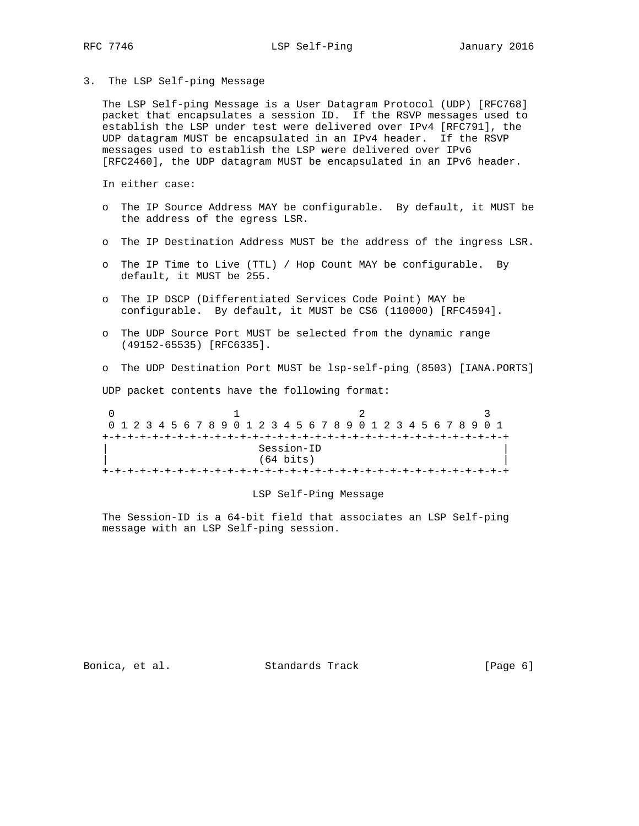3. The LSP Self-ping Message

 The LSP Self-ping Message is a User Datagram Protocol (UDP) [RFC768] packet that encapsulates a session ID. If the RSVP messages used to establish the LSP under test were delivered over IPv4 [RFC791], the UDP datagram MUST be encapsulated in an IPv4 header. If the RSVP messages used to establish the LSP were delivered over IPv6 [RFC2460], the UDP datagram MUST be encapsulated in an IPv6 header.

In either case:

- o The IP Source Address MAY be configurable. By default, it MUST be the address of the egress LSR.
- o The IP Destination Address MUST be the address of the ingress LSR.
- o The IP Time to Live (TTL) / Hop Count MAY be configurable. By default, it MUST be 255.
- o The IP DSCP (Differentiated Services Code Point) MAY be configurable. By default, it MUST be CS6 (110000) [RFC4594].
- o The UDP Source Port MUST be selected from the dynamic range (49152-65535) [RFC6335].
- o The UDP Destination Port MUST be lsp-self-ping (8503) [IANA.PORTS]

UDP packet contents have the following format:

0  $1$  2 3 0 1 2 3 4 5 6 7 8 9 0 1 2 3 4 5 6 7 8 9 0 1 2 3 4 5 6 7 8 9 0 1 +-+-+-+-+-+-+-+-+-+-+-+-+-+-+-+-+-+-+-+-+-+-+-+-+-+-+-+-+-+-+-+-+ Session-ID (64 bits) +-+-+-+-+-+-+-+-+-+-+-+-+-+-+-+-+-+-+-+-+-+-+-+-+-+-+-+-+-+-+-+-+

#### LSP Self-Ping Message

 The Session-ID is a 64-bit field that associates an LSP Self-ping message with an LSP Self-ping session.

Bonica, et al. Standards Track [Page 6]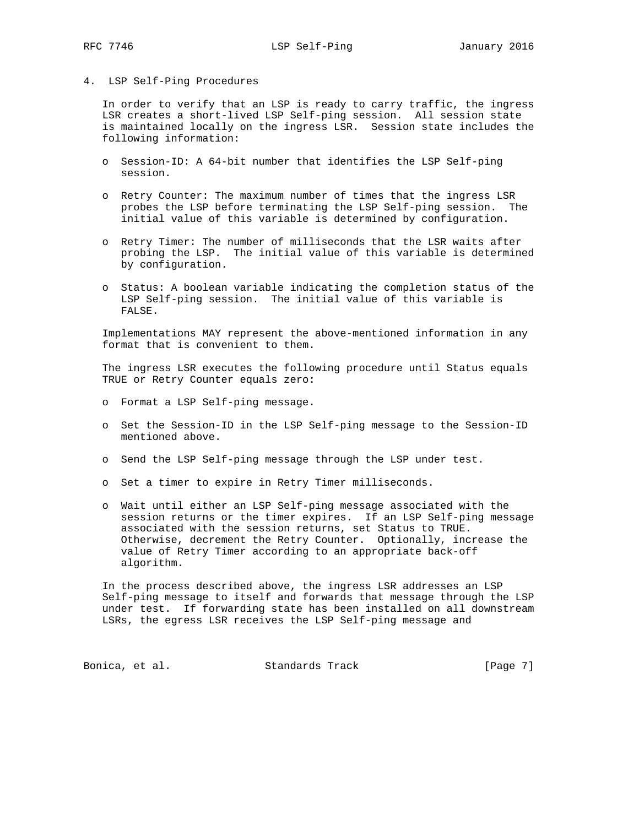### 4. LSP Self-Ping Procedures

 In order to verify that an LSP is ready to carry traffic, the ingress LSR creates a short-lived LSP Self-ping session. All session state is maintained locally on the ingress LSR. Session state includes the following information:

- o Session-ID: A 64-bit number that identifies the LSP Self-ping session.
- o Retry Counter: The maximum number of times that the ingress LSR probes the LSP before terminating the LSP Self-ping session. The initial value of this variable is determined by configuration.
- o Retry Timer: The number of milliseconds that the LSR waits after probing the LSP. The initial value of this variable is determined by configuration.
- o Status: A boolean variable indicating the completion status of the LSP Self-ping session. The initial value of this variable is FALSE.

 Implementations MAY represent the above-mentioned information in any format that is convenient to them.

 The ingress LSR executes the following procedure until Status equals TRUE or Retry Counter equals zero:

- o Format a LSP Self-ping message.
- o Set the Session-ID in the LSP Self-ping message to the Session-ID mentioned above.
- o Send the LSP Self-ping message through the LSP under test.
- o Set a timer to expire in Retry Timer milliseconds.
- o Wait until either an LSP Self-ping message associated with the session returns or the timer expires. If an LSP Self-ping message associated with the session returns, set Status to TRUE. Otherwise, decrement the Retry Counter. Optionally, increase the value of Retry Timer according to an appropriate back-off algorithm.

 In the process described above, the ingress LSR addresses an LSP Self-ping message to itself and forwards that message through the LSP under test. If forwarding state has been installed on all downstream LSRs, the egress LSR receives the LSP Self-ping message and

Bonica, et al. Standards Track [Page 7]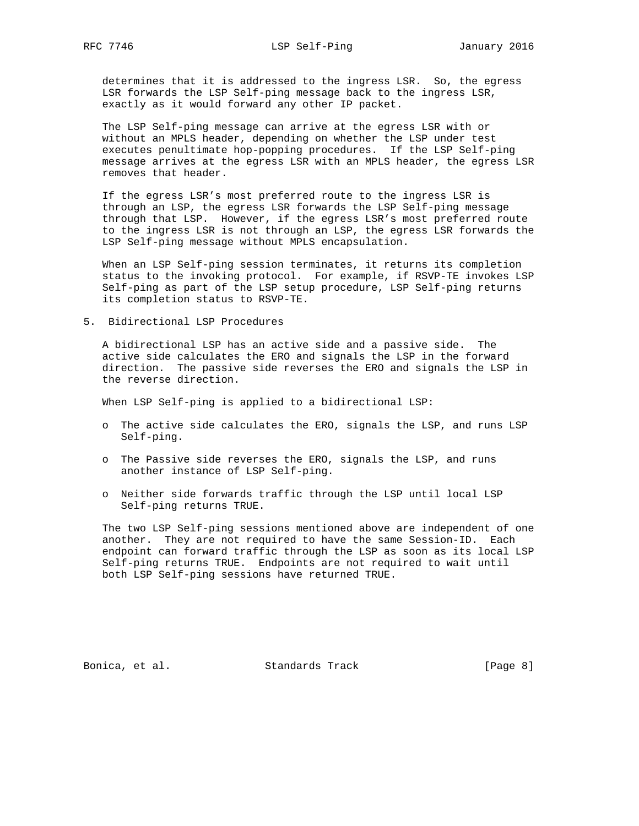determines that it is addressed to the ingress LSR. So, the egress LSR forwards the LSP Self-ping message back to the ingress LSR, exactly as it would forward any other IP packet.

 The LSP Self-ping message can arrive at the egress LSR with or without an MPLS header, depending on whether the LSP under test executes penultimate hop-popping procedures. If the LSP Self-ping message arrives at the egress LSR with an MPLS header, the egress LSR removes that header.

 If the egress LSR's most preferred route to the ingress LSR is through an LSP, the egress LSR forwards the LSP Self-ping message through that LSP. However, if the egress LSR's most preferred route to the ingress LSR is not through an LSP, the egress LSR forwards the LSP Self-ping message without MPLS encapsulation.

 When an LSP Self-ping session terminates, it returns its completion status to the invoking protocol. For example, if RSVP-TE invokes LSP Self-ping as part of the LSP setup procedure, LSP Self-ping returns its completion status to RSVP-TE.

5. Bidirectional LSP Procedures

 A bidirectional LSP has an active side and a passive side. The active side calculates the ERO and signals the LSP in the forward direction. The passive side reverses the ERO and signals the LSP in the reverse direction.

When LSP Self-ping is applied to a bidirectional LSP:

- o The active side calculates the ERO, signals the LSP, and runs LSP Self-ping.
- o The Passive side reverses the ERO, signals the LSP, and runs another instance of LSP Self-ping.
- o Neither side forwards traffic through the LSP until local LSP Self-ping returns TRUE.

 The two LSP Self-ping sessions mentioned above are independent of one another. They are not required to have the same Session-ID. Each endpoint can forward traffic through the LSP as soon as its local LSP Self-ping returns TRUE. Endpoints are not required to wait until both LSP Self-ping sessions have returned TRUE.

Bonica, et al. Standards Track [Page 8]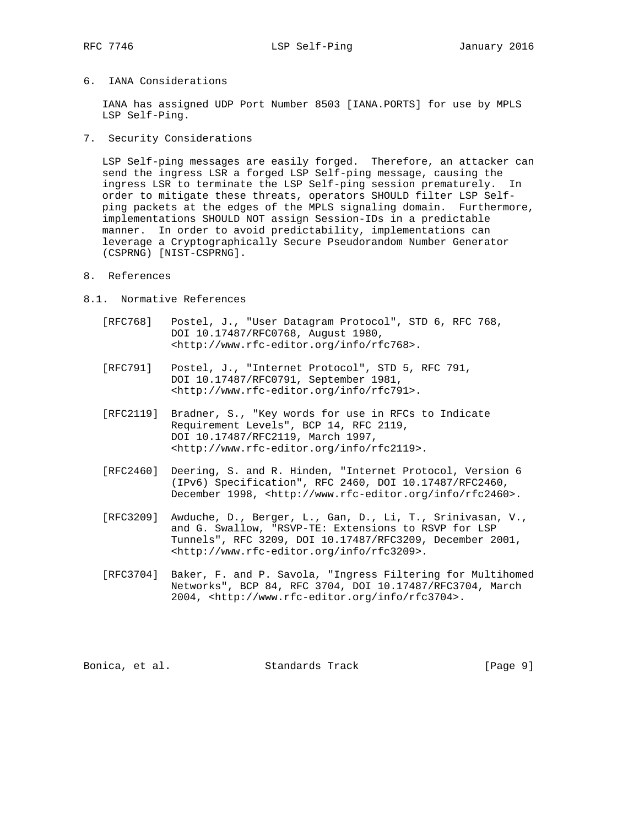## 6. IANA Considerations

 IANA has assigned UDP Port Number 8503 [IANA.PORTS] for use by MPLS LSP Self-Ping.

7. Security Considerations

 LSP Self-ping messages are easily forged. Therefore, an attacker can send the ingress LSR a forged LSP Self-ping message, causing the ingress LSR to terminate the LSP Self-ping session prematurely. In order to mitigate these threats, operators SHOULD filter LSP Self ping packets at the edges of the MPLS signaling domain. Furthermore, implementations SHOULD NOT assign Session-IDs in a predictable manner. In order to avoid predictability, implementations can leverage a Cryptographically Secure Pseudorandom Number Generator (CSPRNG) [NIST-CSPRNG].

- 8. References
- 8.1. Normative References
	- [RFC768] Postel, J., "User Datagram Protocol", STD 6, RFC 768, DOI 10.17487/RFC0768, August 1980, <http://www.rfc-editor.org/info/rfc768>.
	- [RFC791] Postel, J., "Internet Protocol", STD 5, RFC 791, DOI 10.17487/RFC0791, September 1981, <http://www.rfc-editor.org/info/rfc791>.
	- [RFC2119] Bradner, S., "Key words for use in RFCs to Indicate Requirement Levels", BCP 14, RFC 2119, DOI 10.17487/RFC2119, March 1997, <http://www.rfc-editor.org/info/rfc2119>.
	- [RFC2460] Deering, S. and R. Hinden, "Internet Protocol, Version 6 (IPv6) Specification", RFC 2460, DOI 10.17487/RFC2460, December 1998, <http://www.rfc-editor.org/info/rfc2460>.
	- [RFC3209] Awduche, D., Berger, L., Gan, D., Li, T., Srinivasan, V., and G. Swallow, "RSVP-TE: Extensions to RSVP for LSP Tunnels", RFC 3209, DOI 10.17487/RFC3209, December 2001, <http://www.rfc-editor.org/info/rfc3209>.
	- [RFC3704] Baker, F. and P. Savola, "Ingress Filtering for Multihomed Networks", BCP 84, RFC 3704, DOI 10.17487/RFC3704, March 2004, <http://www.rfc-editor.org/info/rfc3704>.

Bonica, et al. Standards Track [Page 9]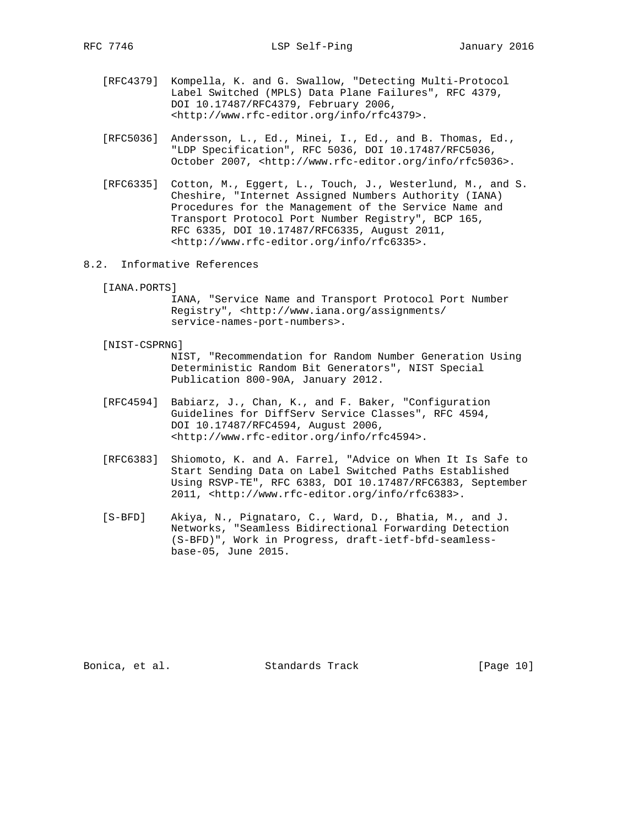- [RFC4379] Kompella, K. and G. Swallow, "Detecting Multi-Protocol Label Switched (MPLS) Data Plane Failures", RFC 4379, DOI 10.17487/RFC4379, February 2006, <http://www.rfc-editor.org/info/rfc4379>.
- [RFC5036] Andersson, L., Ed., Minei, I., Ed., and B. Thomas, Ed., "LDP Specification", RFC 5036, DOI 10.17487/RFC5036, October 2007, <http://www.rfc-editor.org/info/rfc5036>.
- [RFC6335] Cotton, M., Eggert, L., Touch, J., Westerlund, M., and S. Cheshire, "Internet Assigned Numbers Authority (IANA) Procedures for the Management of the Service Name and Transport Protocol Port Number Registry", BCP 165, RFC 6335, DOI 10.17487/RFC6335, August 2011, <http://www.rfc-editor.org/info/rfc6335>.
- 8.2. Informative References
	- [IANA.PORTS]

 IANA, "Service Name and Transport Protocol Port Number Registry", <http://www.iana.org/assignments/ service-names-port-numbers>.

[NIST-CSPRNG]

 NIST, "Recommendation for Random Number Generation Using Deterministic Random Bit Generators", NIST Special Publication 800-90A, January 2012.

- [RFC4594] Babiarz, J., Chan, K., and F. Baker, "Configuration Guidelines for DiffServ Service Classes", RFC 4594, DOI 10.17487/RFC4594, August 2006, <http://www.rfc-editor.org/info/rfc4594>.
- [RFC6383] Shiomoto, K. and A. Farrel, "Advice on When It Is Safe to Start Sending Data on Label Switched Paths Established Using RSVP-TE", RFC 6383, DOI 10.17487/RFC6383, September 2011, <http://www.rfc-editor.org/info/rfc6383>.
- [S-BFD] Akiya, N., Pignataro, C., Ward, D., Bhatia, M., and J. Networks, "Seamless Bidirectional Forwarding Detection (S-BFD)", Work in Progress, draft-ietf-bfd-seamless base-05, June 2015.

Bonica, et al. Standards Track [Page 10]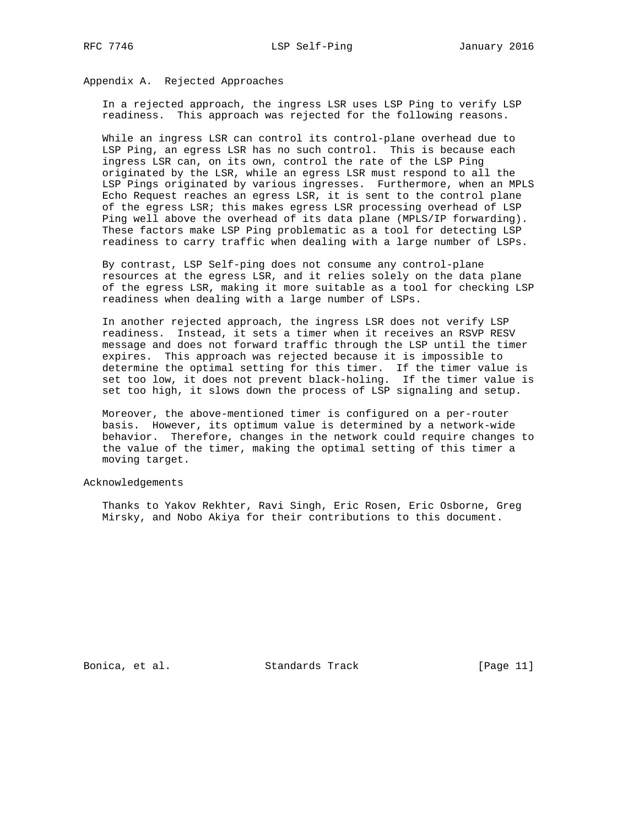Appendix A. Rejected Approaches

 In a rejected approach, the ingress LSR uses LSP Ping to verify LSP readiness. This approach was rejected for the following reasons.

 While an ingress LSR can control its control-plane overhead due to LSP Ping, an egress LSR has no such control. This is because each ingress LSR can, on its own, control the rate of the LSP Ping originated by the LSR, while an egress LSR must respond to all the LSP Pings originated by various ingresses. Furthermore, when an MPLS Echo Request reaches an egress LSR, it is sent to the control plane of the egress LSR; this makes egress LSR processing overhead of LSP Ping well above the overhead of its data plane (MPLS/IP forwarding). These factors make LSP Ping problematic as a tool for detecting LSP readiness to carry traffic when dealing with a large number of LSPs.

 By contrast, LSP Self-ping does not consume any control-plane resources at the egress LSR, and it relies solely on the data plane of the egress LSR, making it more suitable as a tool for checking LSP readiness when dealing with a large number of LSPs.

 In another rejected approach, the ingress LSR does not verify LSP readiness. Instead, it sets a timer when it receives an RSVP RESV message and does not forward traffic through the LSP until the timer expires. This approach was rejected because it is impossible to determine the optimal setting for this timer. If the timer value is set too low, it does not prevent black-holing. If the timer value is set too high, it slows down the process of LSP signaling and setup.

 Moreover, the above-mentioned timer is configured on a per-router basis. However, its optimum value is determined by a network-wide behavior. Therefore, changes in the network could require changes to the value of the timer, making the optimal setting of this timer a moving target.

Acknowledgements

 Thanks to Yakov Rekhter, Ravi Singh, Eric Rosen, Eric Osborne, Greg Mirsky, and Nobo Akiya for their contributions to this document.

Bonica, et al. Standards Track [Page 11]